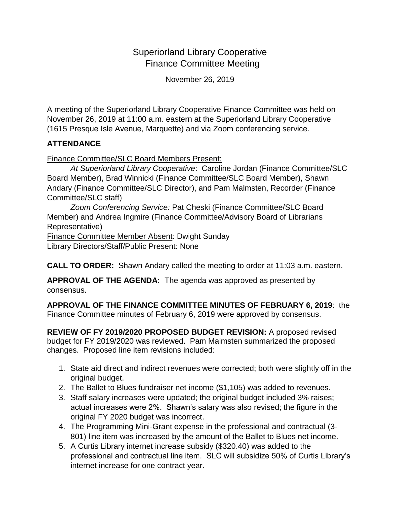## Superiorland Library Cooperative Finance Committee Meeting

November 26, 2019

A meeting of the Superiorland Library Cooperative Finance Committee was held on November 26, 2019 at 11:00 a.m. eastern at the Superiorland Library Cooperative (1615 Presque Isle Avenue, Marquette) and via Zoom conferencing service.

## **ATTENDANCE**

Finance Committee/SLC Board Members Present:

*At Superiorland Library Cooperative*: Caroline Jordan (Finance Committee/SLC Board Member), Brad Winnicki (Finance Committee/SLC Board Member), Shawn Andary (Finance Committee/SLC Director), and Pam Malmsten, Recorder (Finance Committee/SLC staff)

*Zoom Conferencing Service:* Pat Cheski (Finance Committee/SLC Board Member) and Andrea Ingmire (Finance Committee/Advisory Board of Librarians Representative)

Finance Committee Member Absent: Dwight Sunday Library Directors/Staff/Public Present: None

**CALL TO ORDER:** Shawn Andary called the meeting to order at 11:03 a.m. eastern.

**APPROVAL OF THE AGENDA:** The agenda was approved as presented by consensus.

**APPROVAL OF THE FINANCE COMMITTEE MINUTES OF FEBRUARY 6, 2019**: the Finance Committee minutes of February 6, 2019 were approved by consensus.

**REVIEW OF FY 2019/2020 PROPOSED BUDGET REVISION:** A proposed revised budget for FY 2019/2020 was reviewed. Pam Malmsten summarized the proposed changes. Proposed line item revisions included:

- 1. State aid direct and indirect revenues were corrected; both were slightly off in the original budget.
- 2. The Ballet to Blues fundraiser net income (\$1,105) was added to revenues.
- 3. Staff salary increases were updated; the original budget included 3% raises; actual increases were 2%. Shawn's salary was also revised; the figure in the original FY 2020 budget was incorrect.
- 4. The Programming Mini-Grant expense in the professional and contractual (3- 801) line item was increased by the amount of the Ballet to Blues net income.
- 5. A Curtis Library internet increase subsidy (\$320.40) was added to the professional and contractual line item. SLC will subsidize 50% of Curtis Library's internet increase for one contract year.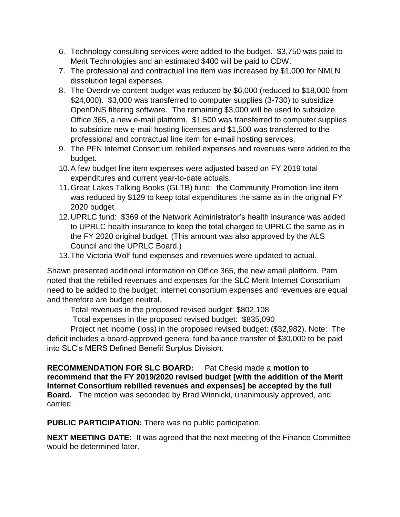- 6. Technology consulting services were added to the budget. \$3,750 was paid to Merit Technologies and an estimated \$400 will be paid to CDW.
- 7. The professional and contractual line item was increased by \$1,000 for NMLN dissolution legal expenses.
- 8. The Overdrive content budget was reduced by \$6,000 (reduced to \$18,000 from \$24,000). \$3,000 was transferred to computer supplies (3-730) to subsidize OpenDNS filtering software. The remaining \$3,000 will be used to subsidize Office 365, a new e-mail platform. \$1,500 was transferred to computer supplies to subsidize new e-mail hosting licenses and \$1,500 was transferred to the professional and contractual line item for e-mail hosting services.
- 9. The PFN Internet Consortium rebilled expenses and revenues were added to the budget.
- 10.A few budget line item expenses were adjusted based on FY 2019 total expenditures and current year-to-date actuals.
- 11.Great Lakes Talking Books (GLTB) fund: the Community Promotion line item was reduced by \$129 to keep total expenditures the same as in the original FY 2020 budget.
- 12.UPRLC fund: \$369 of the Network Administrator's health insurance was added to UPRLC health insurance to keep the total charged to UPRLC the same as in the FY 2020 original budget. (This amount was also approved by the ALS Council and the UPRLC Board.)
- 13.The Victoria Wolf fund expenses and revenues were updated to actual.

Shawn presented additional information on Office 365, the new email platform. Pam noted that the rebilled revenues and expenses for the SLC Merit Internet Consortium need to be added to the budget; internet consortium expenses and revenues are equal and therefore are budget neutral.

Total revenues in the proposed revised budget: \$802,108

Total expenses in the proposed revised budget: \$835,090

Project net income (loss) in the proposed revised budget: (\$32,982). Note: The deficit includes a board-approved general fund balance transfer of \$30,000 to be paid into SLC's MERS Defined Benefit Surplus Division.

**RECOMMENDATION FOR SLC BOARD:** Pat Cheski made a **motion to recommend that the FY 2019/2020 revised budget [with the addition of the Merit Internet Consortium rebilled revenues and expenses] be accepted by the full Board.** The motion was seconded by Brad Winnicki, unanimously approved, and carried.

**PUBLIC PARTICIPATION:** There was no public participation.

**NEXT MEETING DATE:** It was agreed that the next meeting of the Finance Committee would be determined later.